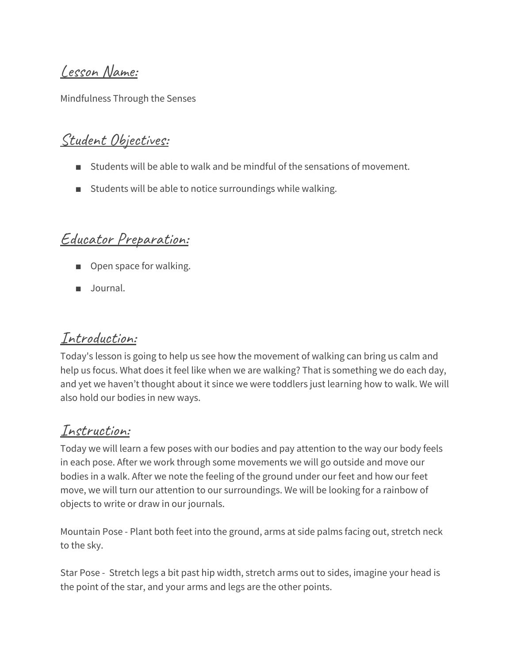Lesson Name:

Mindfulness Through the Senses

## Student Objectives:

- Students will be able to walk and be mindful of the sensations of movement.
- Students will be able to notice surroundings while walking.

#### Educator Preparation:

- Open space for walking.
- Journal.

### Introduction:

Today's lesson is going to help us see how the movement of walking can bring us calm and help us focus. What does it feel like when we are walking? That is something we do each day, and yet we haven't thought about it since we were toddlers just learning how to walk. We will also hold our bodies in new ways.

## Instruction:

Today we will learn a few poses with our bodies and pay attention to the way our body feels in each pose. After we work through some movements we will go outside and move our bodies in a walk. After we note the feeling of the ground under our feet and how our feet move, we will turn our attention to our surroundings. We will be looking for a rainbow of objects to write or draw in our journals.

Mountain Pose - Plant both feet into the ground, arms at side palms facing out, stretch neck to the sky.

Star Pose - Stretch legs a bit past hip width, stretch arms out to sides, imagine your head is the point of the star, and your arms and legs are the other points.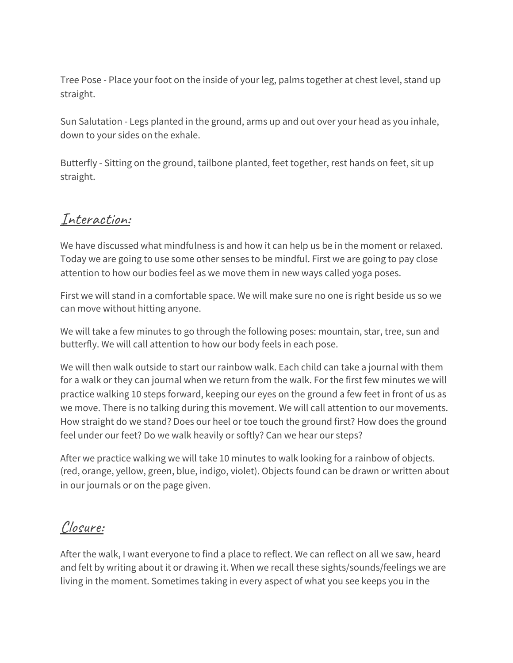Tree Pose - Place your foot on the inside of your leg, palms together at chest level, stand up straight.

Sun Salutation - Legs planted in the ground, arms up and out over your head as you inhale, down to your sides on the exhale.

Butterfly - Sitting on the ground, tailbone planted, feet together, rest hands on feet, sit up straight.

### Interaction:

We have discussed what mindfulness is and how it can help us be in the moment or relaxed. Today we are going to use some other senses to be mindful. First we are going to pay close attention to how our bodies feel as we move them in new ways called yoga poses.

First we will stand in a comfortable space. We will make sure no one is right beside us so we can move without hitting anyone.

We will take a few minutes to go through the following poses: mountain, star, tree, sun and butterfly. We will call attention to how our body feels in each pose.

We will then walk outside to start our rainbow walk. Each child can take a journal with them for a walk or they can journal when we return from the walk. For the first few minutes we will practice walking 10 steps forward, keeping our eyes on the ground a few feet in front of us as we move. There is no talking during this movement. We will call attention to our movements. How straight do we stand? Does our heel or toe touch the ground first? How does the ground feel under our feet? Do we walk heavily or softly? Can we hear our steps?

After we practice walking we will take 10 minutes to walk looking for a rainbow of objects. (red, orange, yellow, green, blue, indigo, violet). Objects found can be drawn or written about in our journals or on the page given.

## Closure:

After the walk, I want everyone to find a place to reflect. We can reflect on all we saw, heard and felt by writing about it or drawing it. When we recall these sights/sounds/feelings we are living in the moment. Sometimes taking in every aspect of what you see keeps you in the